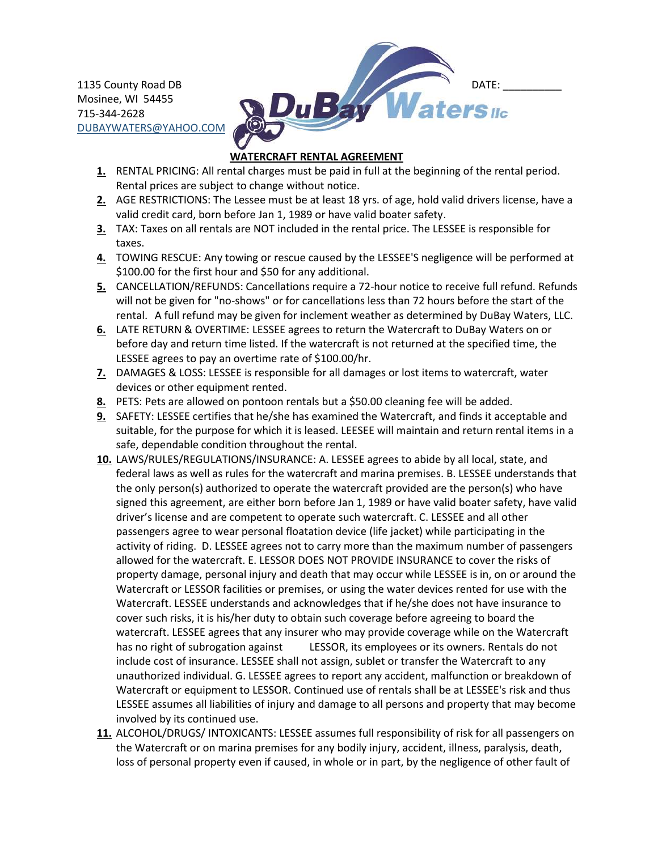Mosinee, WI 54455 715-344-2628 [DUBAYWATERS@YAHOO.COM](mailto:DUBAYWATERS@YAHOO.COM)



## **WATERCRAFT RENTAL AGREEMENT**

- **1.** RENTAL PRICING: All rental charges must be paid in full at the beginning of the rental period. Rental prices are subject to change without notice.
- **2.** AGE RESTRICTIONS: The Lessee must be at least 18 yrs. of age, hold valid drivers license, have a valid credit card, born before Jan 1, 1989 or have valid boater safety.
- **3.** TAX: Taxes on all rentals are NOT included in the rental price. The LESSEE is responsible for taxes.
- **4.** TOWING RESCUE: Any towing or rescue caused by the LESSEE'S negligence will be performed at \$100.00 for the first hour and \$50 for any additional.
- **5.** CANCELLATION/REFUNDS: Cancellations require a 72-hour notice to receive full refund. Refunds will not be given for "no-shows" or for cancellations less than 72 hours before the start of the rental. A full refund may be given for inclement weather as determined by DuBay Waters, LLC.
- **6.** LATE RETURN & OVERTIME: LESSEE agrees to return the Watercraft to DuBay Waters on or before day and return time listed. If the watercraft is not returned at the specified time, the LESSEE agrees to pay an overtime rate of \$100.00/hr.
- **7.** DAMAGES & LOSS: LESSEE is responsible for all damages or lost items to watercraft, water devices or other equipment rented.
- **8.** PETS: Pets are allowed on pontoon rentals but a \$50.00 cleaning fee will be added.
- **9.** SAFETY: LESSEE certifies that he/she has examined the Watercraft, and finds it acceptable and suitable, for the purpose for which it is leased. LEESEE will maintain and return rental items in a safe, dependable condition throughout the rental.
- **10.** LAWS/RULES/REGULATIONS/INSURANCE: A. LESSEE agrees to abide by all local, state, and federal laws as well as rules for the watercraft and marina premises. B. LESSEE understands that the only person(s) authorized to operate the watercraft provided are the person(s) who have signed this agreement, are either born before Jan 1, 1989 or have valid boater safety, have valid driver's license and are competent to operate such watercraft. C. LESSEE and all other passengers agree to wear personal floatation device (life jacket) while participating in the activity of riding. D. LESSEE agrees not to carry more than the maximum number of passengers allowed for the watercraft. E. LESSOR DOES NOT PROVIDE INSURANCE to cover the risks of property damage, personal injury and death that may occur while LESSEE is in, on or around the Watercraft or LESSOR facilities or premises, or using the water devices rented for use with the Watercraft. LESSEE understands and acknowledges that if he/she does not have insurance to cover such risks, it is his/her duty to obtain such coverage before agreeing to board the watercraft. LESSEE agrees that any insurer who may provide coverage while on the Watercraft has no right of subrogation against LESSOR, its employees or its owners. Rentals do not include cost of insurance. LESSEE shall not assign, sublet or transfer the Watercraft to any unauthorized individual. G. LESSEE agrees to report any accident, malfunction or breakdown of Watercraft or equipment to LESSOR. Continued use of rentals shall be at LESSEE's risk and thus LESSEE assumes all liabilities of injury and damage to all persons and property that may become involved by its continued use.
- **11.** ALCOHOL/DRUGS/ INTOXICANTS: LESSEE assumes full responsibility of risk for all passengers on the Watercraft or on marina premises for any bodily injury, accident, illness, paralysis, death, loss of personal property even if caused, in whole or in part, by the negligence of other fault of